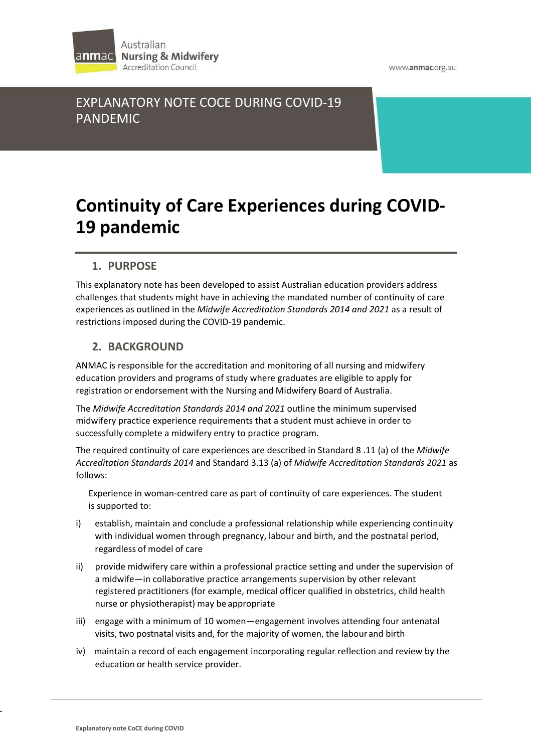

www.anmac.org.au

# EXPLANATORY NOTE COCE DURING COVID-19 PANDEMIC

# **Continuity of Care Experiences during COVID-19 pandemic**

# **1. PURPOSE**

This explanatory note has been developed to assist Australian education providers address challenges that students might have in achieving the mandated number of continuity of care experiences as outlined in the *Midwife Accreditation Standards 2014 and 2021* as a result of restrictions imposed during the COVID-19 pandemic.

## **2. BACKGROUND**

ANMAC is responsible for the accreditation and monitoring of all nursing and midwifery education providers and programs of study where graduates are eligible to apply for registration or endorsement with the Nursing and Midwifery Board of Australia.

The *Midwife Accreditation Standards 2014 and 2021* outline the minimum supervised midwifery practice experience requirements that a student must achieve in order to successfully complete a midwifery entry to practice program.

The required continuity of care experiences are described in Standard 8 .11 (a) of the *Midwife Accreditation Standards 2014* and Standard 3.13 (a) of *Midwife Accreditation Standards 2021* as follows:

Experience in woman-centred care as part of continuity of care experiences. The student is supported to:

- i) establish, maintain and conclude a professional relationship while experiencing continuity with individual women through pregnancy, labour and birth, and the postnatal period, regardless of model of care
- ii) provide midwifery care within a professional practice setting and under the supervision of a midwife—in collaborative practice arrangements supervision by other relevant registered practitioners (for example, medical officer qualified in obstetrics, child health nurse or physiotherapist) may be appropriate
- iii) engage with a minimum of 10 women—engagement involves attending four antenatal visits, two postnatal visits and, for the majority of women, the labour and birth
- iv) maintain a record of each engagement incorporating regular reflection and review by the education or health service provider.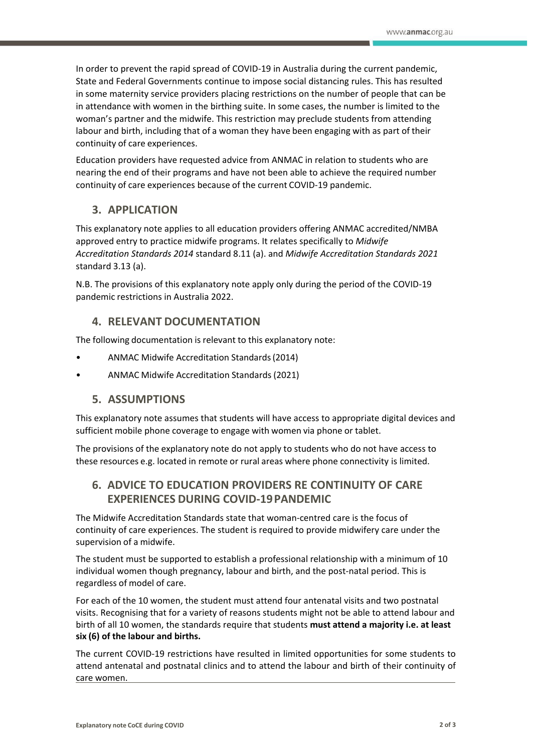In order to prevent the rapid spread of COVID-19 in Australia during the current pandemic, State and Federal Governments continue to impose social distancing rules. This has resulted in some maternity service providers placing restrictions on the number of people that can be in attendance with women in the birthing suite. In some cases, the number is limited to the woman's partner and the midwife. This restriction may preclude students from attending labour and birth, including that of a woman they have been engaging with as part of their continuity of care experiences.

Education providers have requested advice from ANMAC in relation to students who are nearing the end of their programs and have not been able to achieve the required number continuity of care experiences because of the current COVID-19 pandemic.

## **3. APPLICATION**

This explanatory note applies to all education providers offering ANMAC accredited/NMBA approved entry to practice midwife programs. It relates specifically to *Midwife Accreditation Standards 2014* standard 8.11 (a). and *Midwife Accreditation Standards 2021* standard 3.13 (a).

N.B. The provisions of this explanatory note apply only during the period of the COVID-19 pandemic restrictions in Australia 2022.

#### **4. RELEVANT DOCUMENTATION**

The following documentation is relevant to this explanatory note:

- ANMAC Midwife Accreditation Standards(2014)
- ANMAC Midwife Accreditation Standards(2021)

#### **5. ASSUMPTIONS**

This explanatory note assumes that students will have access to appropriate digital devices and sufficient mobile phone coverage to engage with women via phone or tablet.

The provisions of the explanatory note do not apply to students who do not have access to these resources e.g. located in remote or rural areas where phone connectivity is limited.

#### **6. ADVICE TO EDUCATION PROVIDERS RE CONTINUITY OF CARE EXPERIENCES DURING COVID-19PANDEMIC**

The Midwife Accreditation Standards state that woman-centred care is the focus of continuity of care experiences. The student is required to provide midwifery care under the supervision of a midwife.

The student must be supported to establish a professional relationship with a minimum of 10 individual women though pregnancy, labour and birth, and the post-natal period. This is regardless of model of care.

For each of the 10 women, the student must attend four antenatal visits and two postnatal visits. Recognising that for a variety of reasons students might not be able to attend labour and birth of all 10 women, the standards require that students **must attend a majority i.e. at least six (6) of the labour and births.**

The current COVID-19 restrictions have resulted in limited opportunities for some students to attend antenatal and postnatal clinics and to attend the labour and birth of their continuity of care women.